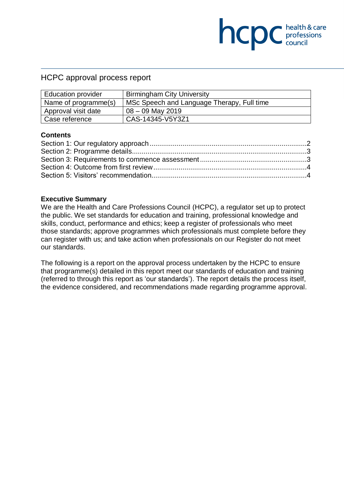### HCPC approval process report

| <b>Education provider</b> | <b>Birmingham City University</b>          |  |
|---------------------------|--------------------------------------------|--|
| Name of programme(s)      | MSc Speech and Language Therapy, Full time |  |
| Approval visit date       | $08 - 09$ May 2019                         |  |
| Case reference            | CAS-14345-V5Y3Z1                           |  |

**NCDC** health & care

#### **Contents**

#### **Executive Summary**

We are the Health and Care Professions Council (HCPC), a regulator set up to protect the public. We set standards for education and training, professional knowledge and skills, conduct, performance and ethics; keep a register of professionals who meet those standards; approve programmes which professionals must complete before they can register with us; and take action when professionals on our Register do not meet our standards.

The following is a report on the approval process undertaken by the HCPC to ensure that programme(s) detailed in this report meet our standards of education and training (referred to through this report as 'our standards'). The report details the process itself, the evidence considered, and recommendations made regarding programme approval.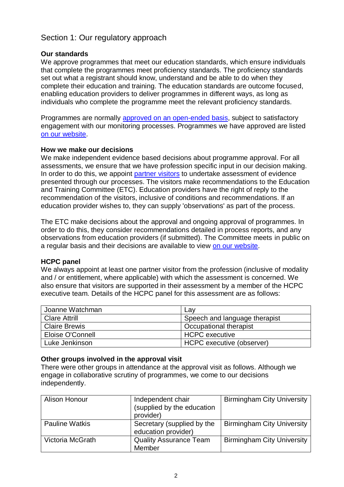# <span id="page-1-0"></span>Section 1: Our regulatory approach

### **Our standards**

We approve programmes that meet our education standards, which ensure individuals that complete the programmes meet proficiency standards. The proficiency standards set out what a registrant should know, understand and be able to do when they complete their education and training. The education standards are outcome focused, enabling education providers to deliver programmes in different ways, as long as individuals who complete the programme meet the relevant proficiency standards.

Programmes are normally [approved on an open-ended basis,](http://www.hcpc-uk.org/education/processes/) subject to satisfactory engagement with our monitoring processes. Programmes we have approved are listed [on our website.](http://www.hcpc-uk.org/education/programmes/register/)

#### **How we make our decisions**

We make independent evidence based decisions about programme approval. For all assessments, we ensure that we have profession specific input in our decision making. In order to do this, we appoint [partner visitors](http://www.hcpc-uk.org/aboutus/partners/) to undertake assessment of evidence presented through our processes. The visitors make recommendations to the Education and Training Committee (ETC). Education providers have the right of reply to the recommendation of the visitors, inclusive of conditions and recommendations. If an education provider wishes to, they can supply 'observations' as part of the process.

The ETC make decisions about the approval and ongoing approval of programmes. In order to do this, they consider recommendations detailed in process reports, and any observations from education providers (if submitted). The Committee meets in public on a regular basis and their decisions are available to view [on our website.](http://www.hcpc-uk.org/aboutus/committees/educationandtrainingpanel/)

#### **HCPC panel**

We always appoint at least one partner visitor from the profession (inclusive of modality and / or entitlement, where applicable) with which the assessment is concerned. We also ensure that visitors are supported in their assessment by a member of the HCPC executive team. Details of the HCPC panel for this assessment are as follows:

| Joanne Watchman      | Lav                           |
|----------------------|-------------------------------|
| <b>Clare Attrill</b> | Speech and language therapist |
| <b>Claire Brewis</b> | Occupational therapist        |
| Eloise O'Connell     | <b>HCPC</b> executive         |
| Luke Jenkinson       | HCPC executive (observer)     |

#### **Other groups involved in the approval visit**

There were other groups in attendance at the approval visit as follows. Although we engage in collaborative scrutiny of programmes, we come to our decisions independently.

| <b>Alison Honour</b>  | Independent chair<br>(supplied by the education<br>provider) | <b>Birmingham City University</b> |
|-----------------------|--------------------------------------------------------------|-----------------------------------|
| <b>Pauline Watkis</b> | Secretary (supplied by the<br>education provider)            | <b>Birmingham City University</b> |
| Victoria McGrath      | <b>Quality Assurance Team</b><br>Member                      | <b>Birmingham City University</b> |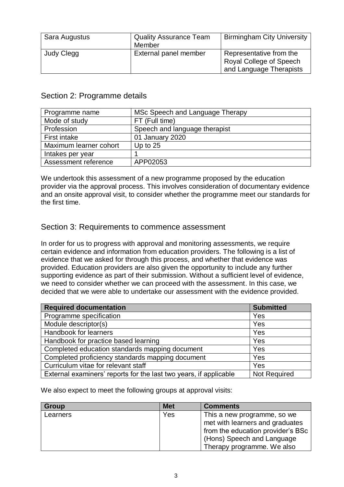| Sara Augustus | <b>Quality Assurance Team</b><br>Member | <b>Birmingham City University</b>                                             |
|---------------|-----------------------------------------|-------------------------------------------------------------------------------|
| Judy Clegg    | External panel member                   | Representative from the<br>Royal College of Speech<br>and Language Therapists |

## <span id="page-2-0"></span>Section 2: Programme details

| Programme name         | MSc Speech and Language Therapy |
|------------------------|---------------------------------|
| Mode of study          | FT (Full time)                  |
| Profession             | Speech and language therapist   |
| <b>First intake</b>    | 01 January 2020                 |
| Maximum learner cohort | Up to $25$                      |
| Intakes per year       |                                 |
| Assessment reference   | APP02053                        |

We undertook this assessment of a new programme proposed by the education provider via the approval process. This involves consideration of documentary evidence and an onsite approval visit, to consider whether the programme meet our standards for the first time.

## <span id="page-2-1"></span>Section 3: Requirements to commence assessment

In order for us to progress with approval and monitoring assessments, we require certain evidence and information from education providers. The following is a list of evidence that we asked for through this process, and whether that evidence was provided. Education providers are also given the opportunity to include any further supporting evidence as part of their submission. Without a sufficient level of evidence, we need to consider whether we can proceed with the assessment. In this case, we decided that we were able to undertake our assessment with the evidence provided.

| <b>Required documentation</b>                                     | <b>Submitted</b> |
|-------------------------------------------------------------------|------------------|
| Programme specification                                           | Yes              |
| Module descriptor(s)                                              | Yes              |
| Handbook for learners                                             | Yes              |
| Handbook for practice based learning                              | Yes              |
| Completed education standards mapping document                    | Yes              |
| Completed proficiency standards mapping document                  | Yes              |
| Curriculum vitae for relevant staff                               | Yes              |
| External examiners' reports for the last two years, if applicable | Not Required     |

We also expect to meet the following groups at approval visits:

| <b>Group</b> | <b>Met</b> | <b>Comments</b>                   |
|--------------|------------|-----------------------------------|
| Learners     | Yes        | This a new programme, so we       |
|              |            | met with learners and graduates   |
|              |            | from the education provider's BSc |
|              |            | (Hons) Speech and Language        |
|              |            | Therapy programme. We also        |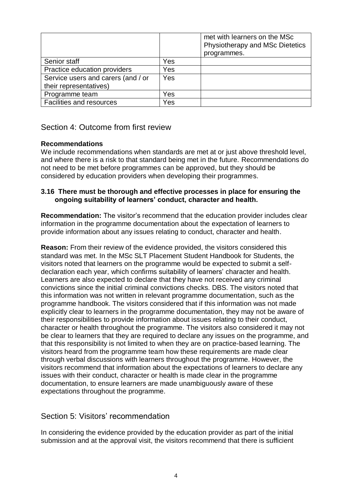|                                    |            | met with learners on the MSc<br>Physiotherapy and MSc Dietetics<br>programmes. |
|------------------------------------|------------|--------------------------------------------------------------------------------|
| Senior staff                       | Yes        |                                                                                |
| Practice education providers       | Yes        |                                                                                |
| Service users and carers (and / or | <b>Yes</b> |                                                                                |
| their representatives)             |            |                                                                                |
| Programme team                     | Yes        |                                                                                |
| <b>Facilities and resources</b>    | Yes        |                                                                                |

# <span id="page-3-0"></span>Section 4: Outcome from first review

### **Recommendations**

We include recommendations when standards are met at or just above threshold level, and where there is a risk to that standard being met in the future. Recommendations do not need to be met before programmes can be approved, but they should be considered by education providers when developing their programmes.

### **3.16 There must be thorough and effective processes in place for ensuring the ongoing suitability of learners' conduct, character and health.**

**Recommendation:** The visitor's recommend that the education provider includes clear information in the programme documentation about the expectation of learners to provide information about any issues relating to conduct, character and health.

**Reason:** From their review of the evidence provided, the visitors considered this standard was met. In the MSc SLT Placement Student Handbook for Students, the visitors noted that learners on the programme would be expected to submit a selfdeclaration each year, which confirms suitability of learners' character and health. Learners are also expected to declare that they have not received any criminal convictions since the initial criminal convictions checks. DBS. The visitors noted that this information was not written in relevant programme documentation, such as the programme handbook. The visitors considered that if this information was not made explicitly clear to learners in the programme documentation, they may not be aware of their responsibilities to provide information about issues relating to their conduct, character or health throughout the programme. The visitors also considered it may not be clear to learners that they are required to declare any issues on the programme, and that this responsibility is not limited to when they are on practice-based learning. The visitors heard from the programme team how these requirements are made clear through verbal discussions with learners throughout the programme. However, the visitors recommend that information about the expectations of learners to declare any issues with their conduct, character or health is made clear in the programme documentation, to ensure learners are made unambiguously aware of these expectations throughout the programme.

## <span id="page-3-1"></span>Section 5: Visitors' recommendation

In considering the evidence provided by the education provider as part of the initial submission and at the approval visit, the visitors recommend that there is sufficient